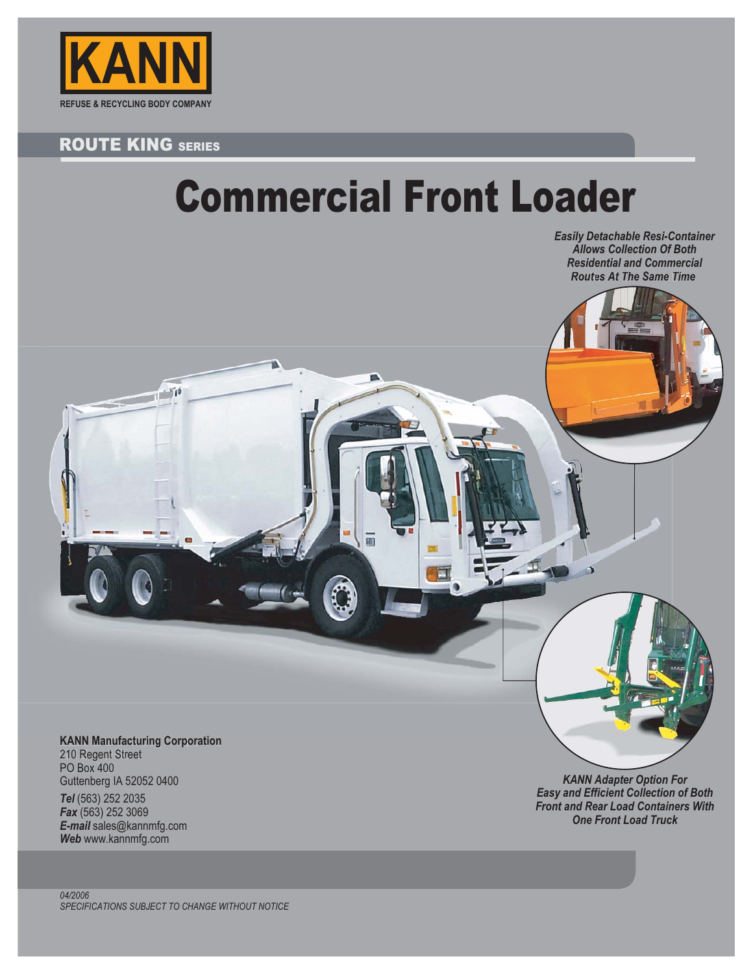

## **ROUTE KING SERIES**

 $N_{\rm H}$  $\neg$ 

## Commercial Front Loader

*Easily Detachable Resi-Container Allows Collection Of Both Residential and Commercial Routes At The Same Time*

**KANN Manufacturing Corporation** 210 Regent Street PO Box 400 Guttenberg IA 52052 0400 *Tel* (563) 252 2035 *Fax* (563) 252 3069 *E-mail* sales@kannmfg.com *Web* www.kannmfg.com

*KANN Adapter Option For Easy and Efficient Collection of Both Front and Rear Load Containers With One Front Load Truck*

 $\rightarrow$ 

*04/2006 SPECIFICATIONS SUBJECT TO CHANGE WITHOUT NOTICE*